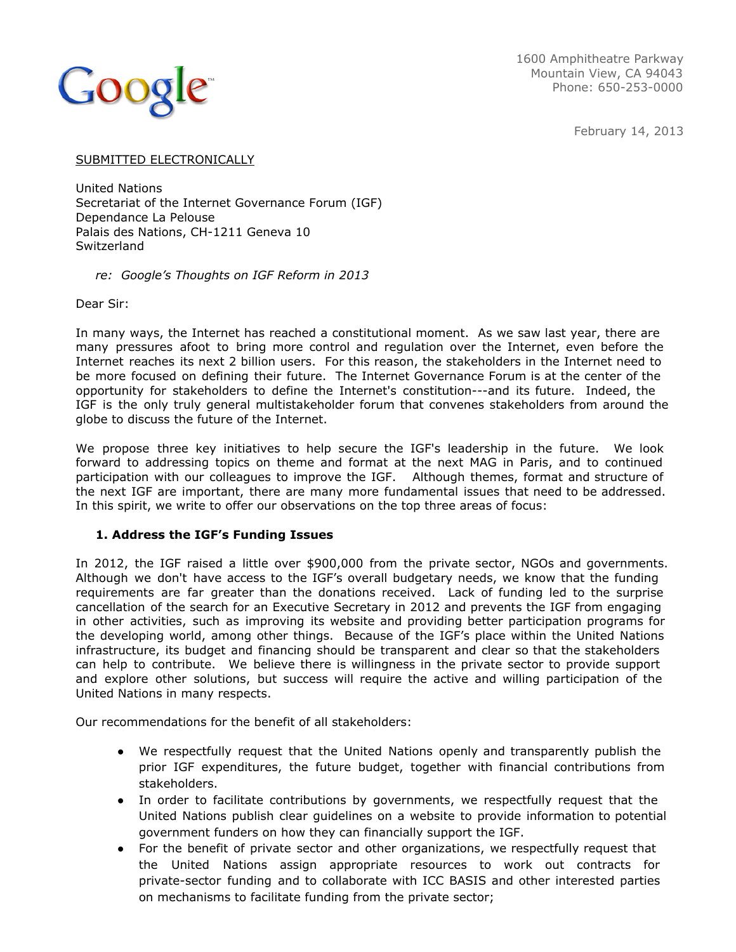

1600 Amphitheatre Parkway Mountain View, CA 94043 Phone: 650-253-0000

February 14, 2013

### SUBMITTED ELECTRONICALLY

United Nations Secretariat of the Internet Governance Forum (IGF) Dependance La Pelouse Palais des Nations, CH-1211 Geneva 10 **Switzerland** 

## *re: Google's Thoughts on IGF Reform in 2013*

Dear Sir:

In many ways, the Internet has reached a constitutional moment. As we saw last year, there are many pressures afoot to bring more control and regulation over the Internet, even before the Internet reaches its next 2 billion users. For this reason, the stakeholders in the Internet need to be more focused on defining their future. The Internet Governance Forum is at the center of the opportunity for stakeholders to define the Internet's constitution---and its future. Indeed, the IGF is the only truly general multistakeholder forum that convenes stakeholders from around the globe to discuss the future of the Internet.

We propose three key initiatives to help secure the IGF's leadership in the future. We look forward to addressing topics on theme and format at the next MAG in Paris, and to continued participation with our colleagues to improve the IGF. Although themes, format and structure of the next IGF are important, there are many more fundamental issues that need to be addressed. In this spirit, we write to offer our observations on the top three areas of focus:

## **1. Address the IGF's Funding Issues**

In 2012, the IGF raised a little over \$900,000 from the private sector, NGOs and governments. Although we don't have access to the IGF's overall budgetary needs, we know that the funding requirements are far greater than the donations received. Lack of funding led to the surprise cancellation of the search for an Executive Secretary in 2012 and prevents the IGF from engaging in other activities, such as improving its website and providing better participation programs for the developing world, among other things. Because of the IGF's place within the United Nations infrastructure, its budget and financing should be transparent and clear so that the stakeholders can help to contribute. We believe there is willingness in the private sector to provide support and explore other solutions, but success will require the active and willing participation of the United Nations in many respects.

Our recommendations for the benefit of all stakeholders:

- We respectfully request that the United Nations openly and transparently publish the prior IGF expenditures, the future budget, together with financial contributions from stakeholders.
- In order to facilitate contributions by governments, we respectfully request that the United Nations publish clear guidelines on a website to provide information to potential government funders on how they can financially support the IGF.
- For the benefit of private sector and other organizations, we respectfully request that the United Nations assign appropriate resources to work out contracts for private-sector funding and to collaborate with ICC BASIS and other interested parties on mechanisms to facilitate funding from the private sector;